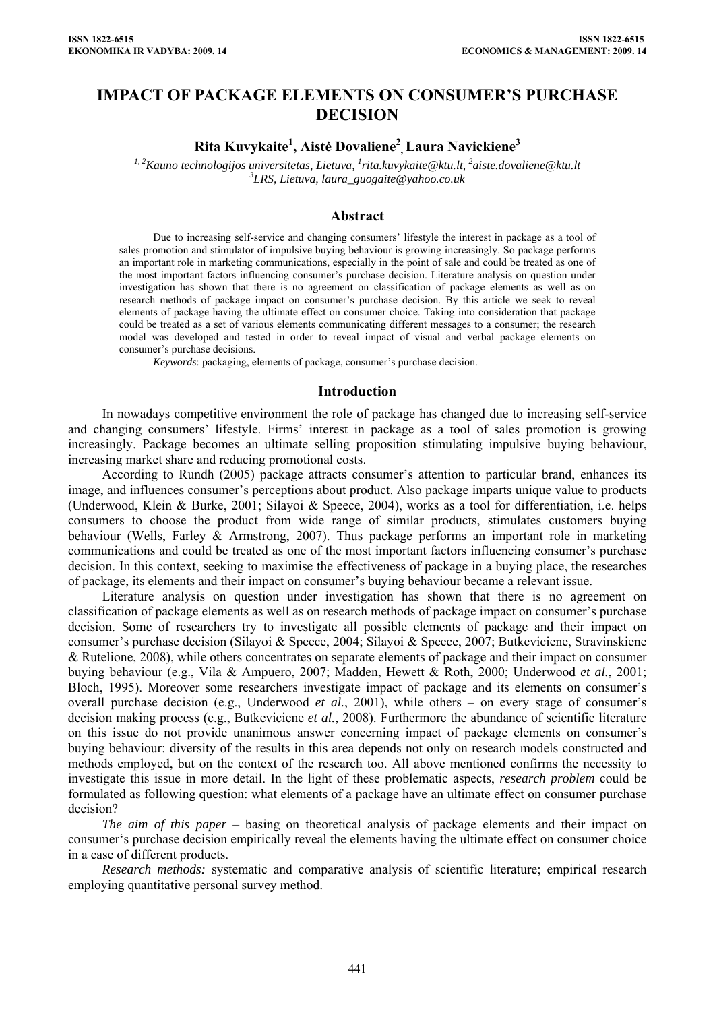## **IMPACT OF PACKAGE ELEMENTS ON CONSUMER'S PURCHASE DECISION**

# **Rita Kuvykaite1 , Aistė Dovaliene<sup>2</sup> , Laura Navickiene3**

<sup>1, 2</sup>Kauno technologijos universitetas, Lietuva, <sup>1</sup>[rita.kuvykaite@ktu.lt,](mailto:rita.kuvykaite@ktu.lt) <sup>2</sup>aiste.dovaliene@ktu.lt<br><sup>3</sup>*I* PS, Lietuva, laura, quogaite@yahee ee uk *LRS, Lietuva, laura\_guogaite@yahoo.co.uk* 

### **Abstract**

Due to increasing self-service and changing consumers' lifestyle the interest in package as a tool of sales promotion and stimulator of impulsive buying behaviour is growing increasingly. So package performs an important role in marketing communications, especially in the point of sale and could be treated as one of the most important factors influencing consumer's purchase decision. Literature analysis on question under investigation has shown that there is no agreement on classification of package elements as well as on research methods of package impact on consumer's purchase decision. By this article we seek to reveal elements of package having the ultimate effect on consumer choice. Taking into consideration that package could be treated as a set of various elements communicating different messages to a consumer; the research model was developed and tested in order to reveal impact of visual and verbal package elements on consumer's purchase decisions.

*Keywords*: packaging, elements of package, consumer's purchase decision.

#### **Introduction**

In nowadays competitive environment the role of package has changed due to increasing self-service and changing consumers' lifestyle. Firms' interest in package as a tool of sales promotion is growing increasingly. Package becomes an ultimate selling proposition stimulating impulsive buying behaviour, increasing market share and reducing promotional costs.

According to Rundh (2005) package attracts consumer's attention to particular brand, enhances its image, and influences consumer's perceptions about product. Also package imparts unique value to products (Underwood, Klein & Burke, 2001; Silayoi & Speece, 2004), works as a tool for differentiation, i.e. helps consumers to choose the product from wide range of similar products, stimulates customers buying behaviour (Wells, Farley & Armstrong, 2007). Thus package performs an important role in marketing communications and could be treated as one of the most important factors influencing consumer's purchase decision. In this context, seeking to maximise the effectiveness of package in a buying place, the researches of package, its elements and their impact on consumer's buying behaviour became a relevant issue.

Literature analysis on question under investigation has shown that there is no agreement on classification of package elements as well as on research methods of package impact on consumer's purchase decision. Some of researchers try to investigate all possible elements of package and their impact on consumer's purchase decision (Silayoi & Speece, 2004; Silayoi & Speece, 2007; Butkeviciene, Stravinskiene & Rutelione, 2008), while others concentrates on separate elements of package and their impact on consumer buying behaviour (e.g., Vila & Ampuero, 2007; Madden, Hewett & Roth, 2000; Underwood *et al.*, 2001; Bloch, 1995). Moreover some researchers investigate impact of package and its elements on consumer's overall purchase decision (e.g., Underwood *et al.*, 2001), while others – on every stage of consumer's decision making process (e.g., Butkeviciene *et al.*, 2008). Furthermore the abundance of scientific literature on this issue do not provide unanimous answer concerning impact of package elements on consumer's buying behaviour: diversity of the results in this area depends not only on research models constructed and methods employed, but on the context of the research too. All above mentioned confirms the necessity to investigate this issue in more detail. In the light of these problematic aspects, *research problem* could be formulated as following question: what elements of a package have an ultimate effect on consumer purchase decision?

*The aim of this paper* – basing on theoretical analysis of package elements and their impact on consumer's purchase decision empirically reveal the elements having the ultimate effect on consumer choice in a case of different products.

*Research methods:* systematic and comparative analysis of scientific literature; empirical research employing quantitative personal survey method.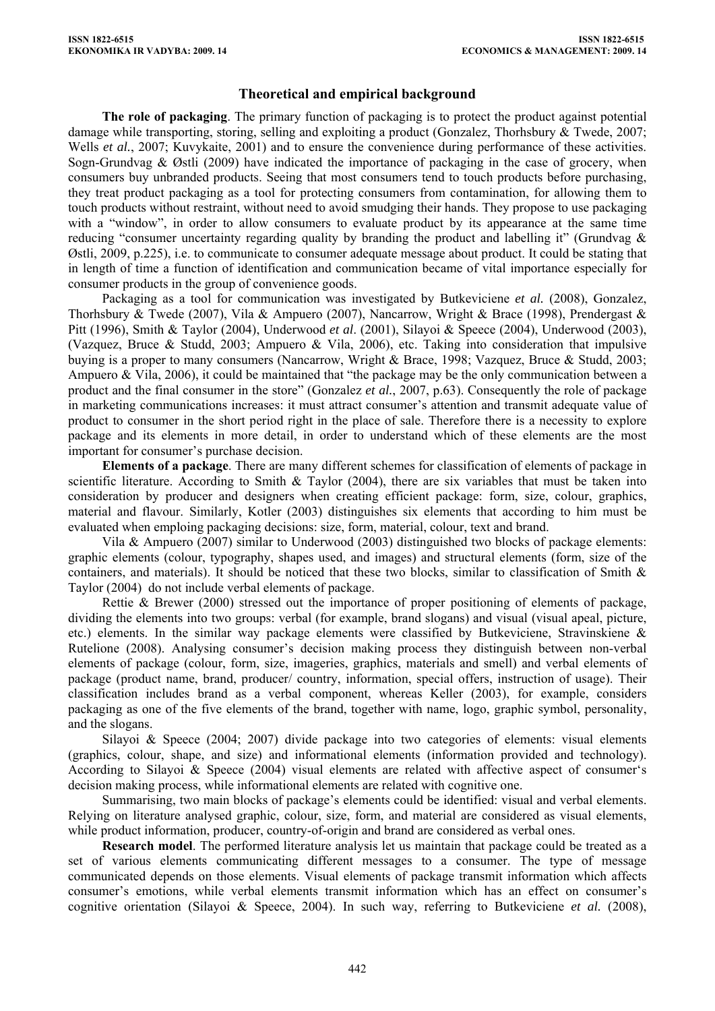### **Theoretical and empirical background**

**The role of packaging**. The primary function of packaging is to protect the product against potential damage while transporting, storing, selling and exploiting a product (Gonzalez, Thorhsbury & Twede, 2007; Wells *et al.*, 2007; Kuvykaite, 2001) and to ensure the convenience during performance of these activities. Sogn-Grundvag & Østli (2009) have indicated the importance of packaging in the case of grocery, when consumers buy unbranded products. Seeing that most consumers tend to touch products before purchasing, they treat product packaging as a tool for protecting consumers from contamination, for allowing them to touch products without restraint, without need to avoid smudging their hands. They propose to use packaging with a "window", in order to allow consumers to evaluate product by its appearance at the same time reducing "consumer uncertainty regarding quality by branding the product and labelling it" (Grundvag & Østli, 2009, p.225), i.e. to communicate to consumer adequate message about product. It could be stating that in length of time a function of identification and communication became of vital importance especially for consumer products in the group of convenience goods.

Packaging as a tool for communication was investigated by Butkeviciene *et al.* (2008), Gonzalez, Thorhsbury & Twede (2007), Vila & Ampuero (2007), Nancarrow, Wright & Brace (1998), Prendergast & Pitt (1996), Smith & Taylor (2004), Underwood *et al*. (2001), Silayoi & Speece (2004), Underwood (2003), (Vazquez, Bruce & Studd, 2003; Ampuero & Vila, 2006), etc. Taking into consideration that impulsive buying is a proper to many consumers (Nancarrow, Wright & Brace, 1998; Vazquez, Bruce & Studd, 2003; Ampuero & Vila, 2006), it could be maintained that "the package may be the only communication between a product and the final consumer in the store" (Gonzalez *et al.*, 2007, p.63). Consequently the role of package in marketing communications increases: it must attract consumer's attention and transmit adequate value of product to consumer in the short period right in the place of sale. Therefore there is a necessity to explore package and its elements in more detail, in order to understand which of these elements are the most important for consumer's purchase decision.

**Elements of a package**. There are many different schemes for classification of elements of package in scientific literature. According to Smith & Taylor (2004), there are six variables that must be taken into consideration by producer and designers when creating efficient package: form, size, colour, graphics, material and flavour. Similarly, Kotler (2003) distinguishes six elements that according to him must be evaluated when emploing packaging decisions: size, form, material, colour, text and brand.

Vila & Ampuero (2007) similar to Underwood (2003) distinguished two blocks of package elements: graphic elements (colour, typography, shapes used, and images) and structural elements (form, size of the containers, and materials). It should be noticed that these two blocks, similar to classification of Smith & Taylor (2004) do not include verbal elements of package.

Rettie & Brewer (2000) stressed out the importance of proper positioning of elements of package. dividing the elements into two groups: verbal (for example, brand slogans) and visual (visual apeal, picture, etc.) elements. In the similar way package elements were classified by Butkeviciene, Stravinskiene & Rutelione (2008). Analysing consumer's decision making process they distinguish between non-verbal elements of package (colour, form, size, imageries, graphics, materials and smell) and verbal elements of package (product name, brand, producer/ country, information, special offers, instruction of usage). Their classification includes brand as a verbal component, whereas Keller (2003), for example, considers packaging as one of the five elements of the brand, together with name, logo, graphic symbol, personality, and the slogans.

Silayoi & Speece (2004; 2007) divide package into two categories of elements: visual elements (graphics, colour, shape, and size) and informational elements (information provided and technology). According to Silayoi & Speece (2004) visual elements are related with affective aspect of consumer's decision making process, while informational elements are related with cognitive one.

Summarising, two main blocks of package's elements could be identified: visual and verbal elements. Relying on literature analysed graphic, colour, size, form, and material are considered as visual elements, while product information, producer, country-of-origin and brand are considered as verbal ones.

**Research model**. The performed literature analysis let us maintain that package could be treated as a set of various elements communicating different messages to a consumer. The type of message communicated depends on those elements. Visual elements of package transmit information which affects consumer's emotions, while verbal elements transmit information which has an effect on consumer's cognitive orientation (Silayoi & Speece, 2004). In such way, referring to Butkeviciene *et al.* (2008),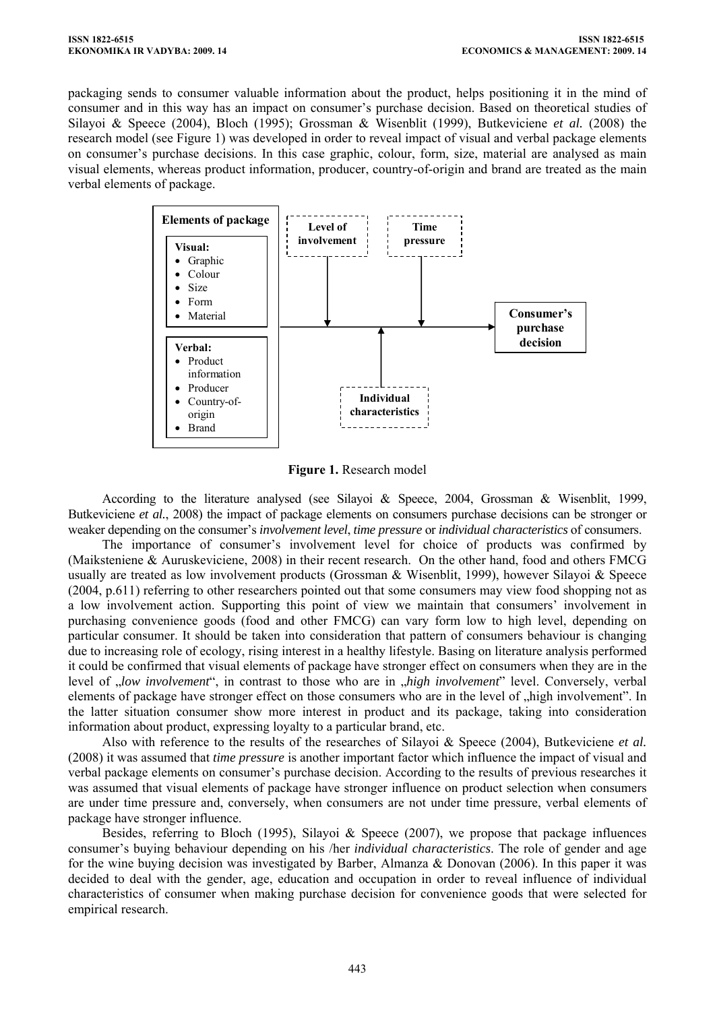packaging sends to consumer valuable information about the product, helps positioning it in the mind of consumer and in this way has an impact on consumer's purchase decision. Based on theoretical studies of Silayoi & Speece (2004), Bloch (1995); Grossman & Wisenblit (1999), Butkeviciene *et al.* (2008) the research model (see Figure 1) was developed in order to reveal impact of visual and verbal package elements on consumer's purchase decisions. In this case graphic, colour, form, size, material are analysed as main visual elements, whereas product information, producer, country-of-origin and brand are treated as the main verbal elements of package.



**Figure 1.** Research model

According to the literature analysed (see Silayoi & Speece, 2004, Grossman & Wisenblit, 1999, Butkeviciene *et al.*, 2008) the impact of package elements on consumers purchase decisions can be stronger or weaker depending on the consumer's *involvement level*, *time pressure* or *individual characteristics* of consumers.

The importance of consumer's involvement level for choice of products was confirmed by (Maiksteniene & Auruskeviciene, 2008) in their recent research. On the other hand, food and others FMCG usually are treated as low involvement products (Grossman & Wisenblit, 1999), however Silayoi & Speece (2004, p.611) referring to other researchers pointed out that some consumers may view food shopping not as a low involvement action. Supporting this point of view we maintain that consumers' involvement in purchasing convenience goods (food and other FMCG) can vary form low to high level, depending on particular consumer. It should be taken into consideration that pattern of consumers behaviour is changing due to increasing role of ecology, rising interest in a healthy lifestyle. Basing on literature analysis performed it could be confirmed that visual elements of package have stronger effect on consumers when they are in the level of *"low involvement*", in contrast to those who are in *"high involvement*" level. Conversely, verbal elements of package have stronger effect on those consumers who are in the level of "high involvement". In the latter situation consumer show more interest in product and its package, taking into consideration information about product, expressing loyalty to a particular brand, etc.

Also with reference to the results of the researches of Silayoi & Speece (2004), Butkeviciene *et al.* (2008) it was assumed that *time pressure* is another important factor which influence the impact of visual and verbal package elements on consumer's purchase decision. According to the results of previous researches it was assumed that visual elements of package have stronger influence on product selection when consumers are under time pressure and, conversely, when consumers are not under time pressure, verbal elements of package have stronger influence.

Besides, referring to Bloch (1995), Silayoi & Speece (2007), we propose that package influences consumer's buying behaviour depending on his /her *individual characteristics*. The role of gender and age for the wine buying decision was investigated by Barber, Almanza & Donovan (2006). In this paper it was decided to deal with the gender, age, education and occupation in order to reveal influence of individual characteristics of consumer when making purchase decision for convenience goods that were selected for empirical research.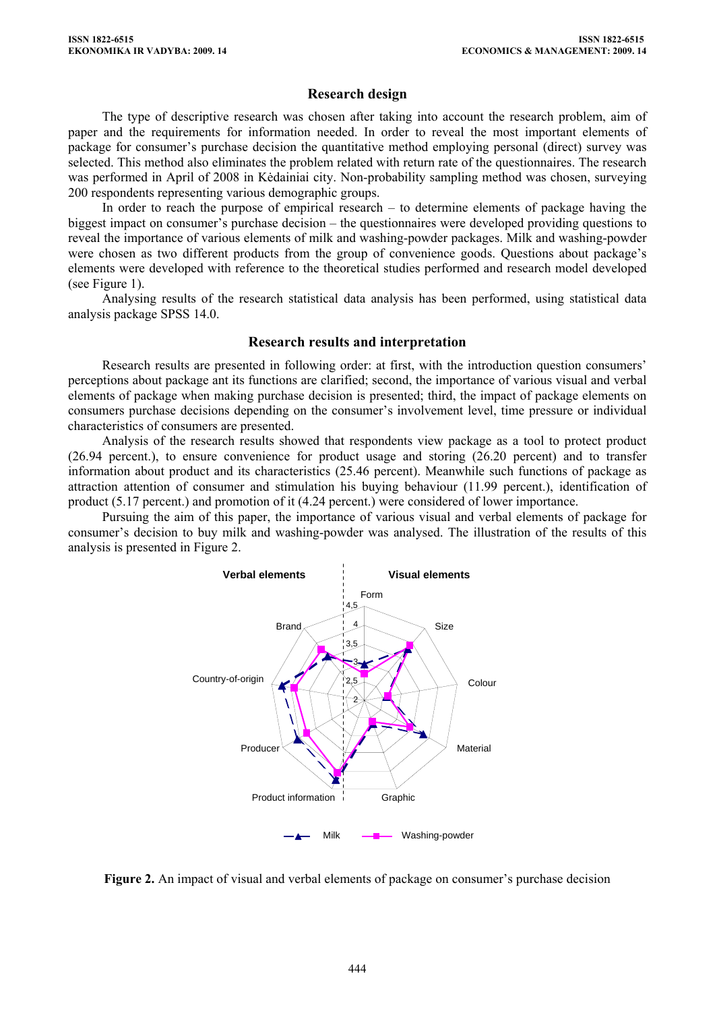### **Research design**

The type of descriptive research was chosen after taking into account the research problem, aim of paper and the requirements for information needed. In order to reveal the most important elements of package for consumer's purchase decision the quantitative method employing personal (direct) survey was selected. This method also eliminates the problem related with return rate of the questionnaires. The research was performed in April of 2008 in Kėdainiai city. Non-probability sampling method was chosen, surveying 200 respondents representing various demographic groups.

In order to reach the purpose of empirical research – to determine elements of package having the biggest impact on consumer's purchase decision – the questionnaires were developed providing questions to reveal the importance of various elements of milk and washing-powder packages. Milk and washing-powder were chosen as two different products from the group of convenience goods. Questions about package's elements were developed with reference to the theoretical studies performed and research model developed (see Figure 1).

Analysing results of the research statistical data analysis has been performed, using statistical data analysis package SPSS 14.0.

### **Research results and interpretation**

Research results are presented in following order: at first, with the introduction question consumers' perceptions about package ant its functions are clarified; second, the importance of various visual and verbal elements of package when making purchase decision is presented; third, the impact of package elements on consumers purchase decisions depending on the consumer's involvement level, time pressure or individual characteristics of consumers are presented.

Analysis of the research results showed that respondents view package as a tool to protect product (26.94 percent.), to ensure convenience for product usage and storing (26.20 percent) and to transfer information about product and its characteristics (25.46 percent). Meanwhile such functions of package as attraction attention of consumer and stimulation his buying behaviour (11.99 percent.), identification of product (5.17 percent.) and promotion of it (4.24 percent.) were considered of lower importance.

Pursuing the aim of this paper, the importance of various visual and verbal elements of package for consumer's decision to buy milk and washing-powder was analysed. The illustration of the results of this analysis is presented in Figure 2.



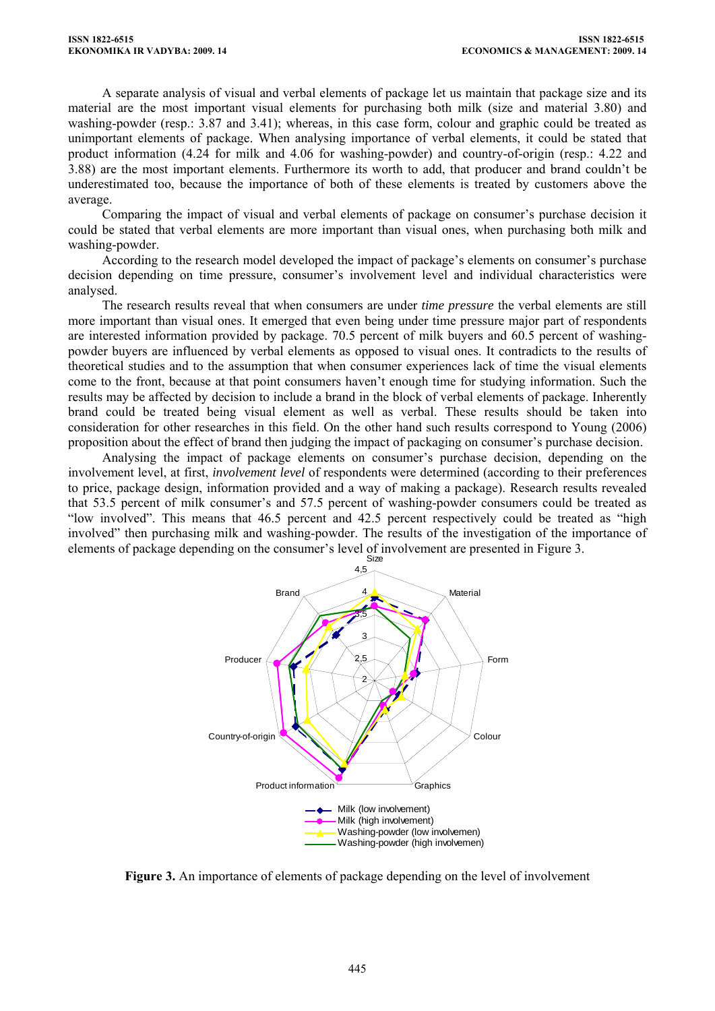A separate analysis of visual and verbal elements of package let us maintain that package size and its material are the most important visual elements for purchasing both milk (size and material 3.80) and washing-powder (resp.: 3.87 and 3.41); whereas, in this case form, colour and graphic could be treated as unimportant elements of package. When analysing importance of verbal elements, it could be stated that product information (4.24 for milk and 4.06 for washing-powder) and country-of-origin (resp.: 4.22 and 3.88) are the most important elements. Furthermore its worth to add, that producer and brand couldn't be underestimated too, because the importance of both of these elements is treated by customers above the average.

Comparing the impact of visual and verbal elements of package on consumer's purchase decision it could be stated that verbal elements are more important than visual ones, when purchasing both milk and washing-powder.

According to the research model developed the impact of package's elements on consumer's purchase decision depending on time pressure, consumer's involvement level and individual characteristics were analysed.

The research results reveal that when consumers are under *time pressure* the verbal elements are still more important than visual ones. It emerged that even being under time pressure major part of respondents are interested information provided by package. 70.5 percent of milk buyers and 60.5 percent of washingpowder buyers are influenced by verbal elements as opposed to visual ones. It contradicts to the results of theoretical studies and to the assumption that when consumer experiences lack of time the visual elements come to the front, because at that point consumers haven't enough time for studying information. Such the results may be affected by decision to include a brand in the block of verbal elements of package. Inherently brand could be treated being visual element as well as verbal. These results should be taken into consideration for other researches in this field. On the other hand such results correspond to Young (2006) proposition about the effect of brand then judging the impact of packaging on consumer's purchase decision.

Analysing the impact of package elements on consumer's purchase decision, depending on the involvement level, at first, *involvement level* of respondents were determined (according to their preferences to price, package design, information provided and a way of making a package). Research results revealed that 53.5 percent of milk consumer's and 57.5 percent of washing-powder consumers could be treated as "low involved". This means that 46.5 percent and 42.5 percent respectively could be treated as "high involved" then purchasing milk and washing-powder. The results of the investigation of the importance of elements of package depending on the consumer's level of involvement are presented in Figure 3.



**Figure 3.** An importance of elements of package depending on the level of involvement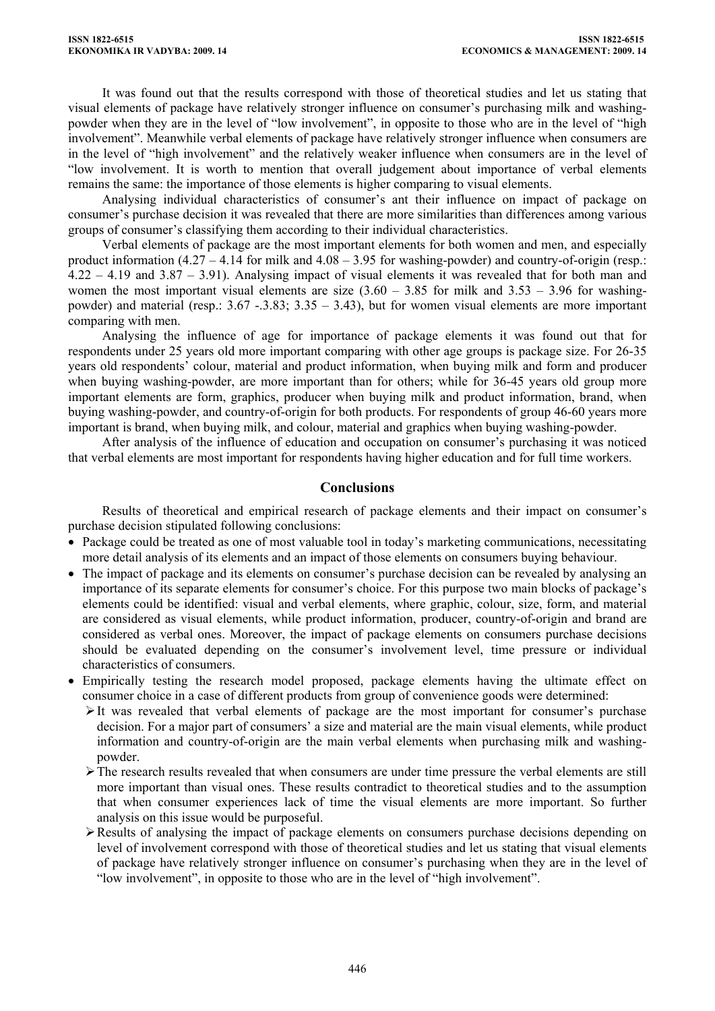It was found out that the results correspond with those of theoretical studies and let us stating that visual elements of package have relatively stronger influence on consumer's purchasing milk and washingpowder when they are in the level of "low involvement", in opposite to those who are in the level of "high involvement". Meanwhile verbal elements of package have relatively stronger influence when consumers are in the level of "high involvement" and the relatively weaker influence when consumers are in the level of "low involvement. It is worth to mention that overall judgement about importance of verbal elements remains the same: the importance of those elements is higher comparing to visual elements.

Analysing individual characteristics of consumer's ant their influence on impact of package on consumer's purchase decision it was revealed that there are more similarities than differences among various groups of consumer's classifying them according to their individual characteristics.

Verbal elements of package are the most important elements for both women and men, and especially product information  $(4.27 - 4.14$  for milk and  $4.08 - 3.95$  for washing-powder) and country-of-origin (resp.: 4.22 – 4.19 and 3.87 – 3.91). Analysing impact of visual elements it was revealed that for both man and women the most important visual elements are size  $(3.60 - 3.85)$  for milk and  $(3.53 - 3.96)$  for washingpowder) and material (resp.:  $3.67 - .3.83$ ;  $3.35 - 3.43$ ), but for women visual elements are more important comparing with men.

Analysing the influence of age for importance of package elements it was found out that for respondents under 25 years old more important comparing with other age groups is package size. For 26-35 years old respondents' colour, material and product information, when buying milk and form and producer when buying washing-powder, are more important than for others; while for 36-45 years old group more important elements are form, graphics, producer when buying milk and product information, brand, when buying washing-powder, and country-of-origin for both products. For respondents of group 46-60 years more important is brand, when buying milk, and colour, material and graphics when buying washing-powder.

After analysis of the influence of education and occupation on consumer's purchasing it was noticed that verbal elements are most important for respondents having higher education and for full time workers.

### **Conclusions**

Results of theoretical and empirical research of package elements and their impact on consumer's purchase decision stipulated following conclusions:

- Package could be treated as one of most valuable tool in today's marketing communications, necessitating more detail analysis of its elements and an impact of those elements on consumers buying behaviour.
- The impact of package and its elements on consumer's purchase decision can be revealed by analysing an importance of its separate elements for consumer's choice. For this purpose two main blocks of package's elements could be identified: visual and verbal elements, where graphic, colour, size, form, and material are considered as visual elements, while product information, producer, country-of-origin and brand are considered as verbal ones. Moreover, the impact of package elements on consumers purchase decisions should be evaluated depending on the consumer's involvement level, time pressure or individual characteristics of consumers.
- Empirically testing the research model proposed, package elements having the ultimate effect on consumer choice in a case of different products from group of convenience goods were determined:
	- $\geq$ It was revealed that verbal elements of package are the most important for consumer's purchase decision. For a major part of consumers' a size and material are the main visual elements, while product information and country-of-origin are the main verbal elements when purchasing milk and washingpowder.
	- $\triangleright$  The research results revealed that when consumers are under time pressure the verbal elements are still more important than visual ones. These results contradict to theoretical studies and to the assumption that when consumer experiences lack of time the visual elements are more important. So further analysis on this issue would be purposeful.
	- $\triangleright$  Results of analysing the impact of package elements on consumers purchase decisions depending on level of involvement correspond with those of theoretical studies and let us stating that visual elements of package have relatively stronger influence on consumer's purchasing when they are in the level of "low involvement", in opposite to those who are in the level of "high involvement".